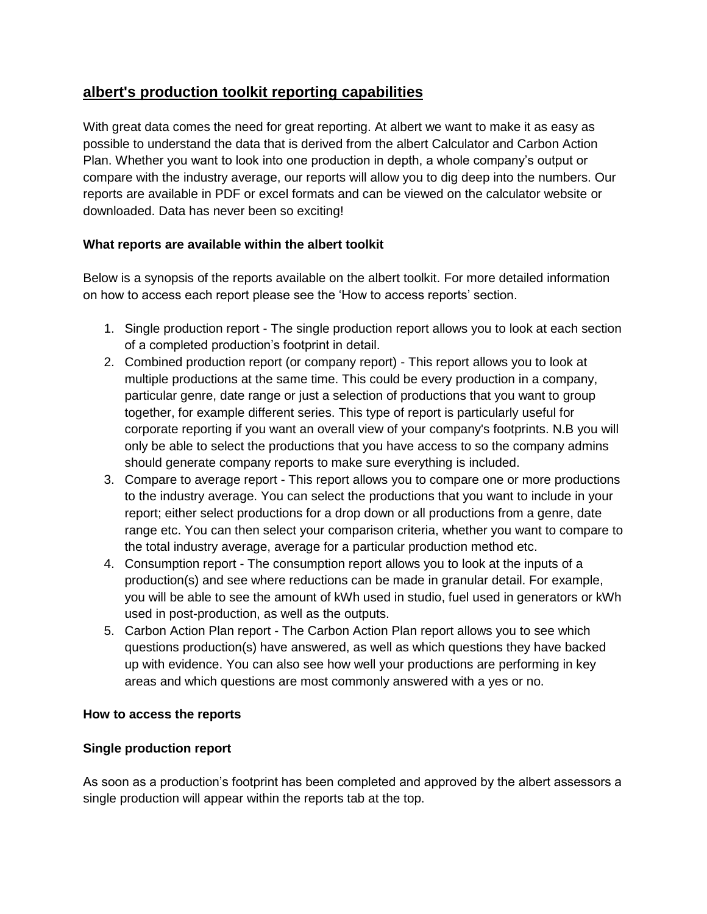## **albert's production toolkit reporting capabilities**

With great data comes the need for great reporting. At albert we want to make it as easy as possible to understand the data that is derived from the albert Calculator and Carbon Action Plan. Whether you want to look into one production in depth, a whole company's output or compare with the industry average, our reports will allow you to dig deep into the numbers. Our reports are available in PDF or excel formats and can be viewed on the calculator website or downloaded. Data has never been so exciting!

## **What reports are available within the albert toolkit**

Below is a synopsis of the reports available on the albert toolkit. For more detailed information on how to access each report please see the 'How to access reports' section.

- 1. Single production report The single production report allows you to look at each section of a completed production's footprint in detail.
- 2. Combined production report (or company report) This report allows you to look at multiple productions at the same time. This could be every production in a company, particular genre, date range or just a selection of productions that you want to group together, for example different series. This type of report is particularly useful for corporate reporting if you want an overall view of your company's footprints. N.B you will only be able to select the productions that you have access to so the company admins should generate company reports to make sure everything is included.
- 3. Compare to average report This report allows you to compare one or more productions to the industry average. You can select the productions that you want to include in your report; either select productions for a drop down or all productions from a genre, date range etc. You can then select your comparison criteria, whether you want to compare to the total industry average, average for a particular production method etc.
- 4. Consumption report The consumption report allows you to look at the inputs of a production(s) and see where reductions can be made in granular detail. For example, you will be able to see the amount of kWh used in studio, fuel used in generators or kWh used in post-production, as well as the outputs.
- 5. Carbon Action Plan report The Carbon Action Plan report allows you to see which questions production(s) have answered, as well as which questions they have backed up with evidence. You can also see how well your productions are performing in key areas and which questions are most commonly answered with a yes or no.

## **How to access the reports**

## **Single production report**

As soon as a production's footprint has been completed and approved by the albert assessors a single production will appear within the reports tab at the top.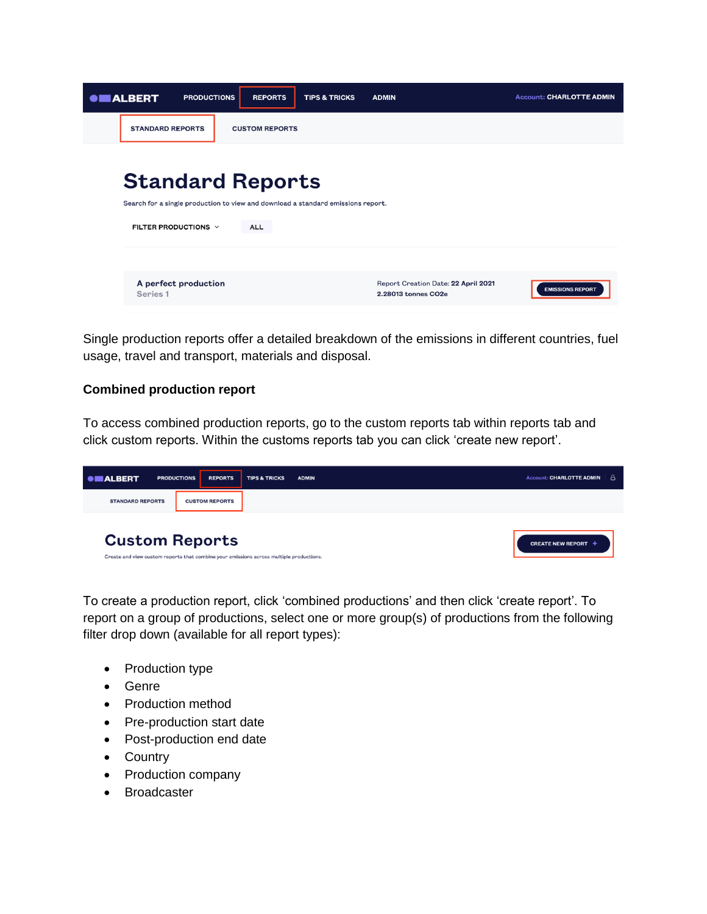

Single production reports offer a detailed breakdown of the emissions in different countries, fuel usage, travel and transport, materials and disposal.

#### **Combined production report**

To access combined production reports, go to the custom reports tab within reports tab and click custom reports. Within the customs reports tab you can click 'create new report'.



To create a production report, click 'combined productions' and then click 'create report'. To report on a group of productions, select one or more group(s) of productions from the following filter drop down (available for all report types):

- Production type
- Genre
- Production method
- Pre-production start date
- Post-production end date
- Country
- Production company
- Broadcaster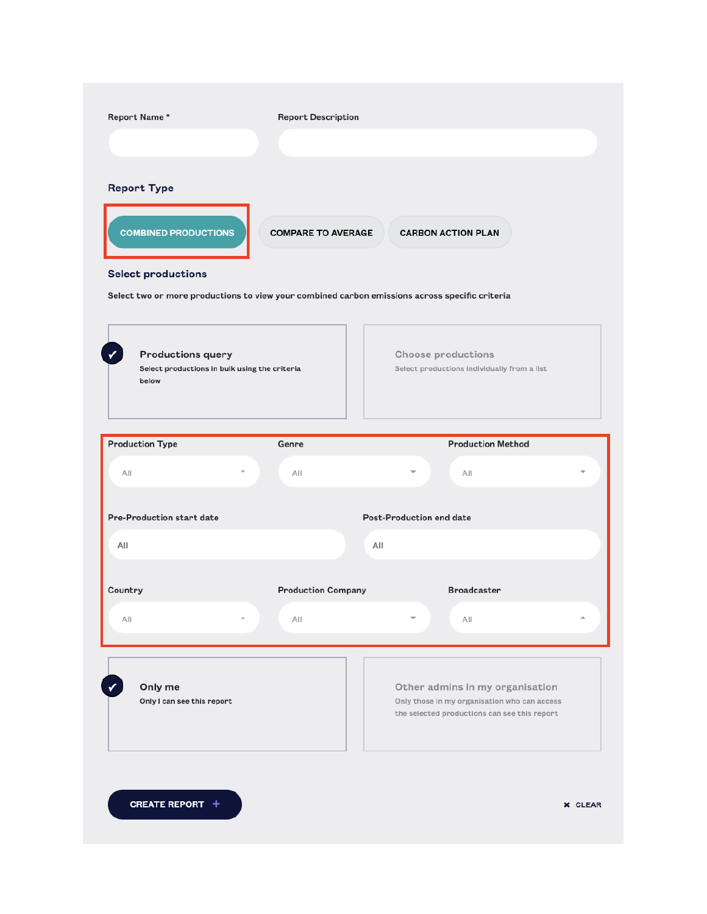| Report Name*                                                                       | <b>Report Description</b> |                                                                                                                                 |
|------------------------------------------------------------------------------------|---------------------------|---------------------------------------------------------------------------------------------------------------------------------|
|                                                                                    |                           |                                                                                                                                 |
| <b>Report Type</b><br><b>COMBINED PRODUCTIONS</b><br><b>Select productions</b>     | <b>COMPARE TO AVERAGE</b> | <b>CARBON ACTION PLAN</b><br>Select two or more productions to view your combined carbon emissions across specific criteria     |
| <b>Productions query</b><br>Select productions in bulk using the criteria<br>below |                           | Choose productions<br>Select productions individually from a list                                                               |
| <b>Production Type</b>                                                             | Genre                     | <b>Production Method</b>                                                                                                        |
| All                                                                                | AII                       | All                                                                                                                             |
| <b>Pre-Production start date</b>                                                   |                           | <b>Post-Production end date</b>                                                                                                 |
| All                                                                                |                           | All                                                                                                                             |
| Country                                                                            | <b>Production Company</b> | <b>Broadcaster</b>                                                                                                              |
| ∸<br>AII                                                                           | AII                       | All                                                                                                                             |
| Only me<br>Only I can see this report                                              |                           | Other admins in my organisation<br>Only those in my organisation who can access<br>the selected productions can see this report |
|                                                                                    |                           |                                                                                                                                 |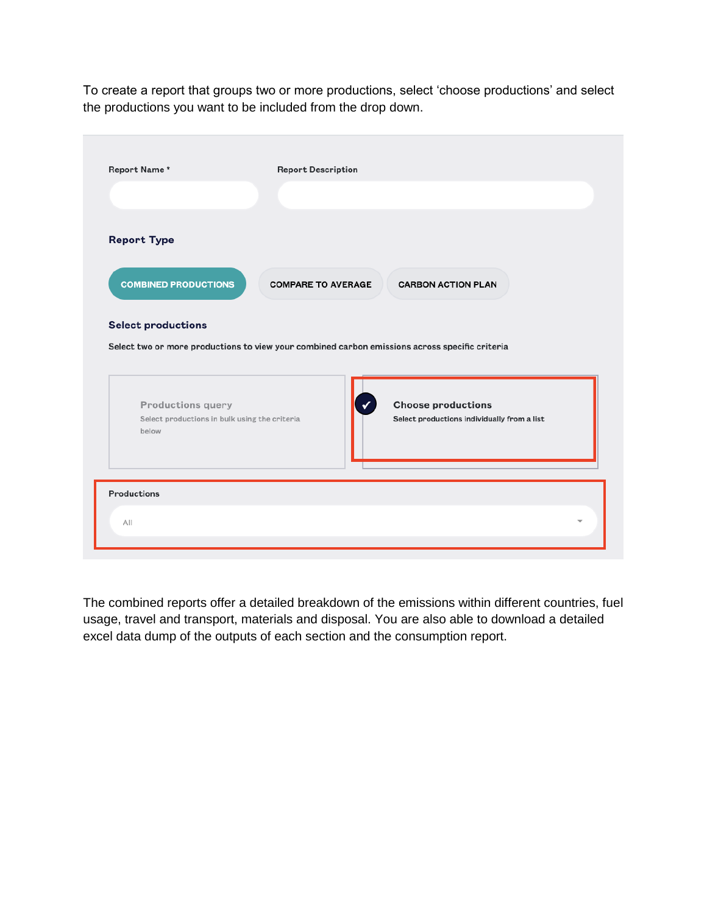To create a report that groups two or more productions, select 'choose productions' and select the productions you want to be included from the drop down.

| Report Name*                                                                                   | <b>Report Description</b> |                                                                          |  |
|------------------------------------------------------------------------------------------------|---------------------------|--------------------------------------------------------------------------|--|
| <b>Report Type</b>                                                                             |                           |                                                                          |  |
| <b>COMBINED PRODUCTIONS</b>                                                                    | <b>COMPARE TO AVERAGE</b> | <b>CARBON ACTION PLAN</b>                                                |  |
|                                                                                                |                           |                                                                          |  |
| <b>Select productions</b>                                                                      |                           |                                                                          |  |
| Select two or more productions to view your combined carbon emissions across specific criteria |                           |                                                                          |  |
| Productions query<br>Select productions in bulk using the criteria<br>below                    |                           | <b>Choose productions</b><br>Select productions individually from a list |  |
| <b>Productions</b>                                                                             |                           |                                                                          |  |

The combined reports offer a detailed breakdown of the emissions within different countries, fuel usage, travel and transport, materials and disposal. You are also able to download a detailed excel data dump of the outputs of each section and the consumption report.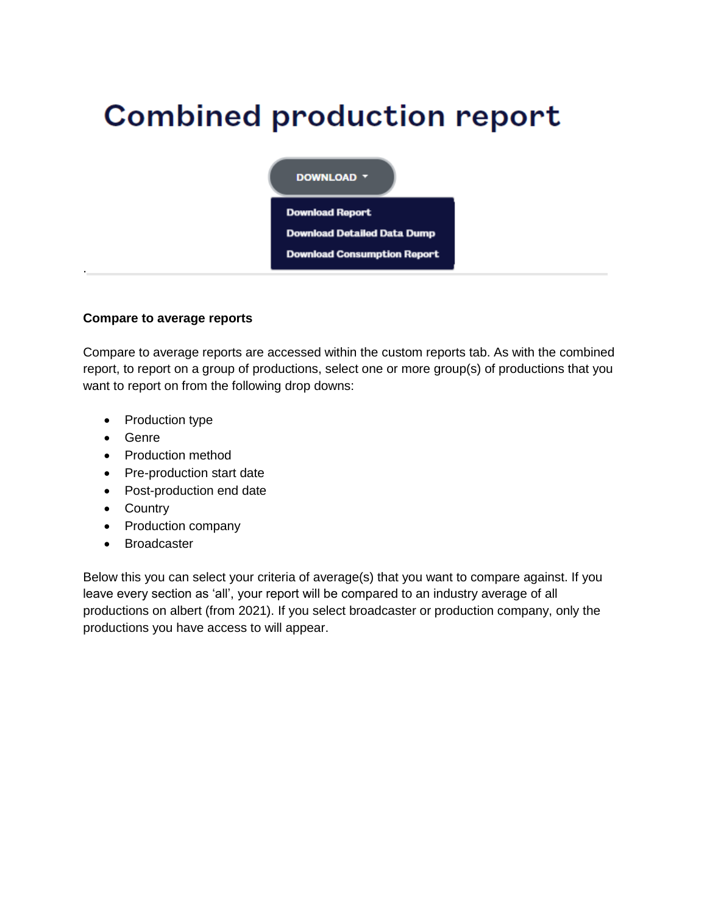# **Combined production report**



#### **Compare to average reports**

Compare to average reports are accessed within the custom reports tab. As with the combined report, to report on a group of productions, select one or more group(s) of productions that you want to report on from the following drop downs:

- Production type
- Genre

.

- Production method
- Pre-production start date
- Post-production end date
- Country
- Production company
- Broadcaster

Below this you can select your criteria of average(s) that you want to compare against. If you leave every section as 'all', your report will be compared to an industry average of all productions on albert (from 2021). If you select broadcaster or production company, only the productions you have access to will appear.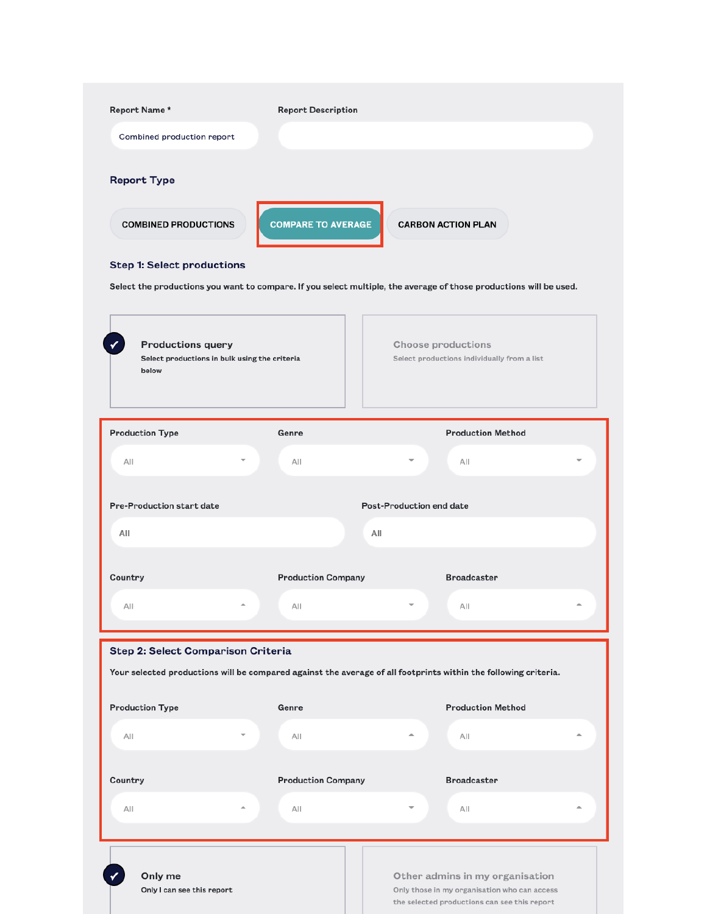| Report Name*                                                                                                                                          | <b>Report Description</b> |                                 |                                                                   |   |
|-------------------------------------------------------------------------------------------------------------------------------------------------------|---------------------------|---------------------------------|-------------------------------------------------------------------|---|
| Combined production report                                                                                                                            |                           |                                 |                                                                   |   |
| <b>Report Type</b>                                                                                                                                    |                           |                                 |                                                                   |   |
| <b>COMBINED PRODUCTIONS</b>                                                                                                                           | <b>COMPARE TO AVERAGE</b> |                                 | <b>CARBON ACTION PLAN</b>                                         |   |
| Step 1: Select productions                                                                                                                            |                           |                                 |                                                                   |   |
| Select the productions you want to compare. If you select multiple, the average of those productions will be used.                                    |                           |                                 |                                                                   |   |
| <b>Productions query</b><br>Select productions in bulk using the criteria                                                                             |                           |                                 | Choose productions<br>Select productions individually from a list |   |
| below                                                                                                                                                 |                           |                                 |                                                                   |   |
| <b>Production Type</b>                                                                                                                                | Genre                     |                                 | <b>Production Method</b>                                          |   |
| All                                                                                                                                                   | AII                       |                                 | All                                                               |   |
|                                                                                                                                                       |                           |                                 |                                                                   |   |
| <b>Pre-Production start date</b>                                                                                                                      |                           | <b>Post-Production end date</b> |                                                                   |   |
| All                                                                                                                                                   |                           | All                             |                                                                   |   |
|                                                                                                                                                       |                           |                                 |                                                                   |   |
| Country                                                                                                                                               | <b>Production Company</b> |                                 | <b>Broadcaster</b>                                                |   |
| AII                                                                                                                                                   | All                       |                                 | All                                                               |   |
| Step 2: Select Comparison Criteria<br>Your selected productions will be compared against the average of all footprints within the following criteria. |                           |                                 |                                                                   |   |
| <b>Production Type</b>                                                                                                                                | Genre                     |                                 | <b>Production Method</b>                                          |   |
| AII                                                                                                                                                   | All                       | A                               | All                                                               | ∸ |
| Country                                                                                                                                               | <b>Production Company</b> |                                 | <b>Broadcaster</b>                                                |   |
| AII                                                                                                                                                   | All                       |                                 | All                                                               | ∸ |
|                                                                                                                                                       |                           |                                 |                                                                   |   |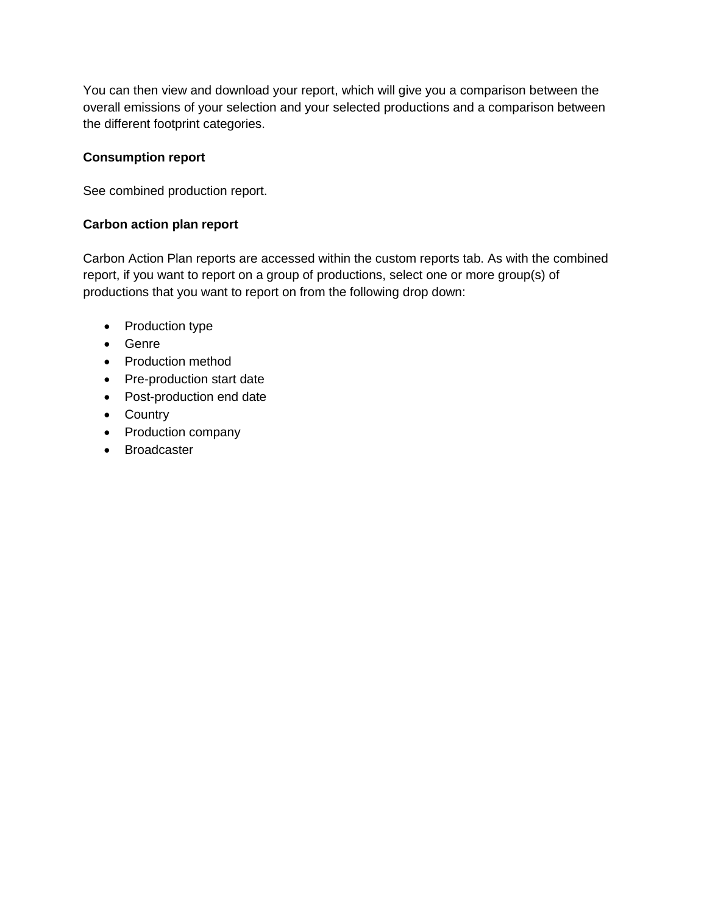You can then view and download your report, which will give you a comparison between the overall emissions of your selection and your selected productions and a comparison between the different footprint categories.

#### **Consumption report**

See combined production report.

#### **Carbon action plan report**

Carbon Action Plan reports are accessed within the custom reports tab. As with the combined report, if you want to report on a group of productions, select one or more group(s) of productions that you want to report on from the following drop down:

- Production type
- Genre
- Production method
- Pre-production start date
- Post-production end date
- Country
- Production company
- Broadcaster